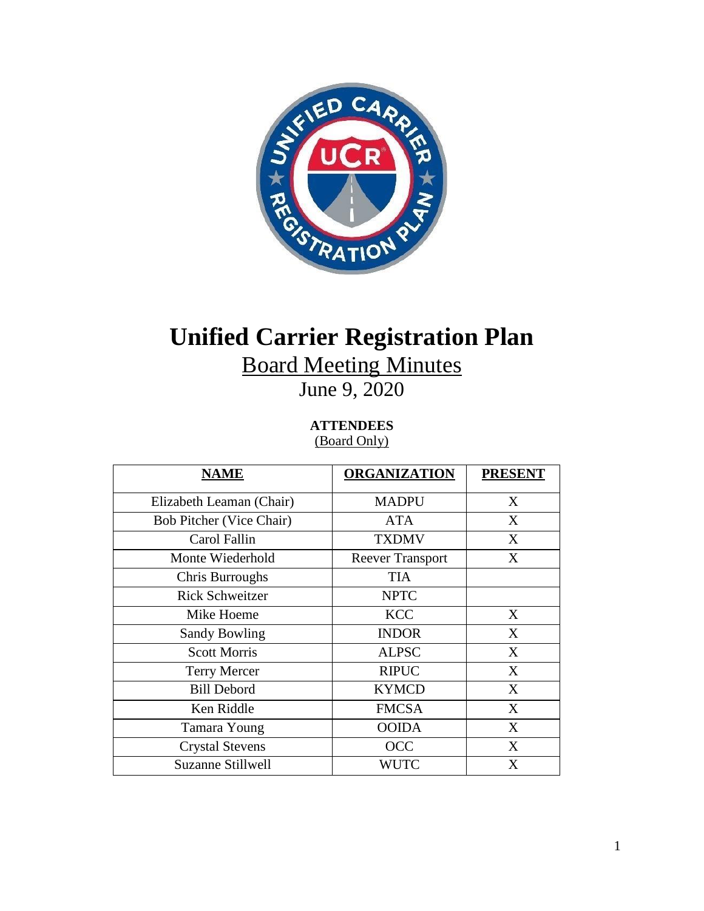

# **Unified Carrier Registration Plan**

Board Meeting Minutes

June 9, 2020

**ATTENDEES** (Board Only)

| <u>NAME</u>                     | <b>ORGANIZATION</b>     | <b>PRESENT</b> |
|---------------------------------|-------------------------|----------------|
| Elizabeth Leaman (Chair)        | <b>MADPU</b>            | X              |
| <b>Bob Pitcher (Vice Chair)</b> | <b>ATA</b>              | X              |
| Carol Fallin                    | <b>TXDMV</b>            | X              |
| Monte Wiederhold                | <b>Reever Transport</b> | X              |
| Chris Burroughs                 | <b>TIA</b>              |                |
| <b>Rick Schweitzer</b>          | <b>NPTC</b>             |                |
| Mike Hoeme                      | <b>KCC</b>              | X              |
| <b>Sandy Bowling</b>            | <b>INDOR</b>            | X              |
| <b>Scott Morris</b>             | <b>ALPSC</b>            | X              |
| <b>Terry Mercer</b>             | <b>RIPUC</b>            | X              |
| <b>Bill Debord</b>              | <b>KYMCD</b>            | X              |
| Ken Riddle                      | <b>FMCSA</b>            | X              |
| Tamara Young                    | <b>OOIDA</b>            | X              |
| <b>Crystal Stevens</b>          | <b>OCC</b>              | X              |
| Suzanne Stillwell               | <b>WUTC</b>             | X              |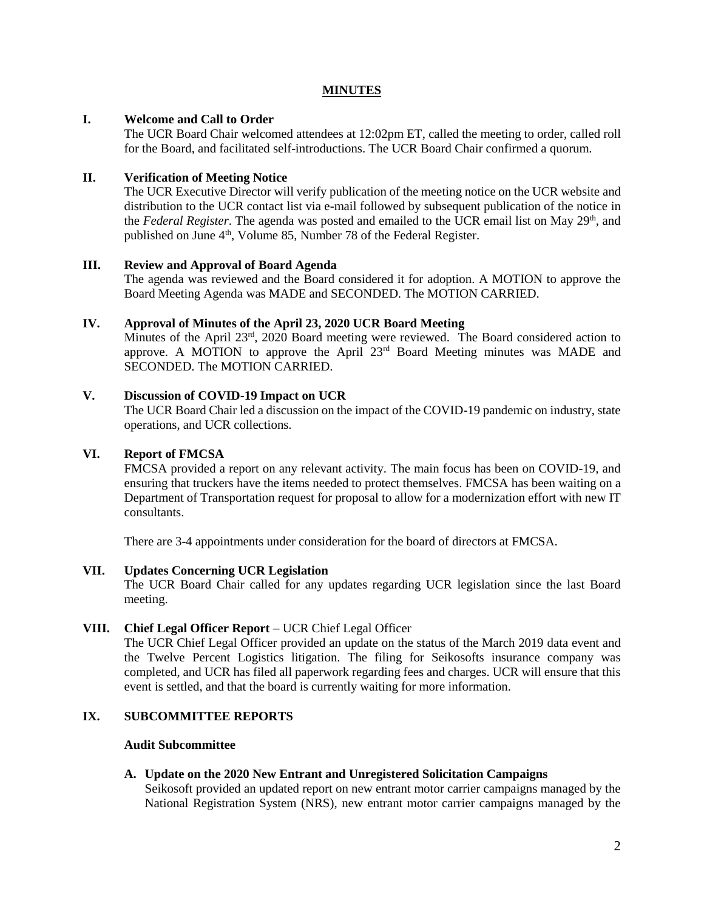# **MINUTES**

# **I. Welcome and Call to Order**

The UCR Board Chair welcomed attendees at 12:02pm ET, called the meeting to order, called roll for the Board, and facilitated self-introductions. The UCR Board Chair confirmed a quorum.

# **II. Verification of Meeting Notice**

The UCR Executive Director will verify publication of the meeting notice on the UCR website and distribution to the UCR contact list via e-mail followed by subsequent publication of the notice in the *Federal Register*. The agenda was posted and emailed to the UCR email list on May 29th, and published on June 4<sup>th</sup>, Volume 85, Number 78 of the Federal Register.

## **III. Review and Approval of Board Agenda**

The agenda was reviewed and the Board considered it for adoption. A MOTION to approve the Board Meeting Agenda was MADE and SECONDED. The MOTION CARRIED.

# **IV. Approval of Minutes of the April 23, 2020 UCR Board Meeting**

Minutes of the April  $23^{rd}$ , 2020 Board meeting were reviewed. The Board considered action to approve. A MOTION to approve the April  $23<sup>rd</sup>$  Board Meeting minutes was MADE and SECONDED. The MOTION CARRIED.

# **V. Discussion of COVID-19 Impact on UCR**

The UCR Board Chair led a discussion on the impact of the COVID-19 pandemic on industry, state operations, and UCR collections.

## **VI. Report of FMCSA**

FMCSA provided a report on any relevant activity. The main focus has been on COVID-19, and ensuring that truckers have the items needed to protect themselves. FMCSA has been waiting on a Department of Transportation request for proposal to allow for a modernization effort with new IT consultants.

There are 3-4 appointments under consideration for the board of directors at FMCSA.

## **VII. Updates Concerning UCR Legislation**

The UCR Board Chair called for any updates regarding UCR legislation since the last Board meeting.

## **VIII. Chief Legal Officer Report** – UCR Chief Legal Officer

The UCR Chief Legal Officer provided an update on the status of the March 2019 data event and the Twelve Percent Logistics litigation. The filing for Seikosofts insurance company was completed, and UCR has filed all paperwork regarding fees and charges. UCR will ensure that this event is settled, and that the board is currently waiting for more information.

# **IX. SUBCOMMITTEE REPORTS**

## **Audit Subcommittee**

## **A. Update on the 2020 New Entrant and Unregistered Solicitation Campaigns**

Seikosoft provided an updated report on new entrant motor carrier campaigns managed by the National Registration System (NRS), new entrant motor carrier campaigns managed by the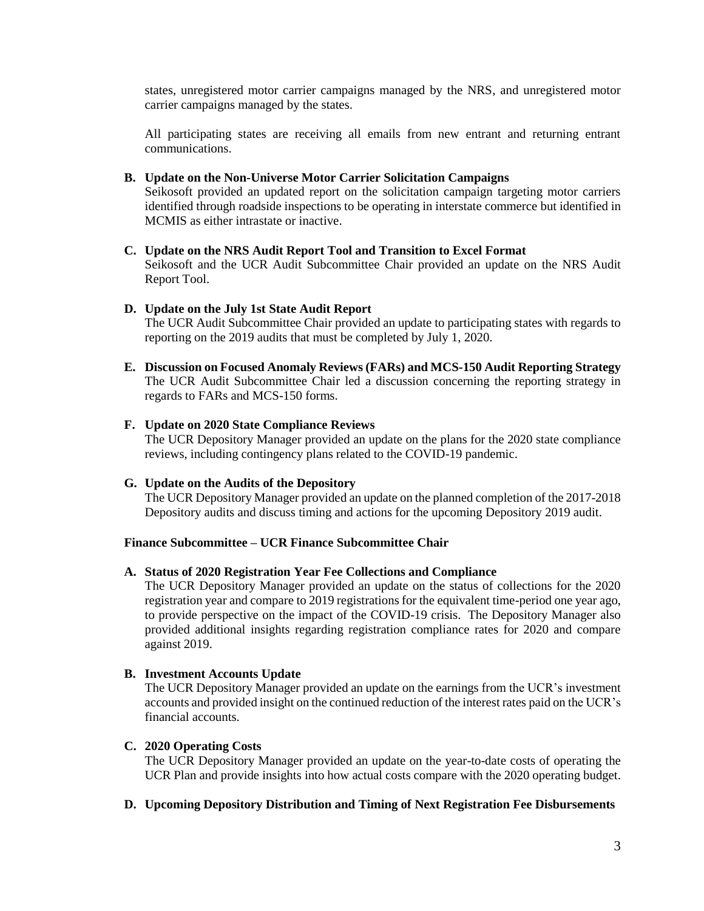states, unregistered motor carrier campaigns managed by the NRS, and unregistered motor carrier campaigns managed by the states.

All participating states are receiving all emails from new entrant and returning entrant communications.

### **B. Update on the Non-Universe Motor Carrier Solicitation Campaigns**

Seikosoft provided an updated report on the solicitation campaign targeting motor carriers identified through roadside inspections to be operating in interstate commerce but identified in MCMIS as either intrastate or inactive.

#### **C. Update on the NRS Audit Report Tool and Transition to Excel Format**

Seikosoft and the UCR Audit Subcommittee Chair provided an update on the NRS Audit Report Tool.

### **D. Update on the July 1st State Audit Report**

The UCR Audit Subcommittee Chair provided an update to participating states with regards to reporting on the 2019 audits that must be completed by July 1, 2020.

**E. Discussion on Focused Anomaly Reviews (FARs) and MCS-150 Audit Reporting Strategy** The UCR Audit Subcommittee Chair led a discussion concerning the reporting strategy in regards to FARs and MCS-150 forms.

### **F. Update on 2020 State Compliance Reviews**

The UCR Depository Manager provided an update on the plans for the 2020 state compliance reviews, including contingency plans related to the COVID-19 pandemic.

#### **G. Update on the Audits of the Depository**

The UCR Depository Manager provided an update on the planned completion of the 2017-2018 Depository audits and discuss timing and actions for the upcoming Depository 2019 audit.

#### **Finance Subcommittee – UCR Finance Subcommittee Chair**

#### **A. Status of 2020 Registration Year Fee Collections and Compliance**

The UCR Depository Manager provided an update on the status of collections for the 2020 registration year and compare to 2019 registrations for the equivalent time-period one year ago, to provide perspective on the impact of the COVID-19 crisis. The Depository Manager also provided additional insights regarding registration compliance rates for 2020 and compare against 2019.

#### **B. Investment Accounts Update**

The UCR Depository Manager provided an update on the earnings from the UCR's investment accounts and provided insight on the continued reduction of the interest rates paid on the UCR's financial accounts.

## **C. 2020 Operating Costs**

The UCR Depository Manager provided an update on the year-to-date costs of operating the UCR Plan and provide insights into how actual costs compare with the 2020 operating budget.

## **D. Upcoming Depository Distribution and Timing of Next Registration Fee Disbursements**